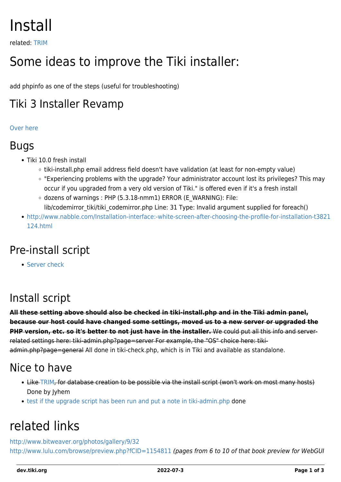# Install

related: [TRIM](https://dev.tiki.org/TRIM)

# Some ideas to improve the Tiki installer:

add phpinfo as one of the steps (useful for troubleshooting)

### Tiki 3 Installer Revamp

#### [Over here](https://dev.tiki.org/Installer-Revamp)

#### Bugs

- Tiki 10.0 fresh install
	- tiki-install.php email address field doesn't have validation (at least for non-empty value)
	- "Experiencing problems with the upgrade? Your administrator account lost its privileges? This may occur if you upgraded from a very old version of Tiki." is offered even if it's a fresh install
	- $\circ$  dozens of warnings : PHP (5.3.18-nmm1) ERROR (E\_WARNING): File: lib/codemirror\_tiki/tiki\_codemirror.php Line: 31 Type: Invalid argument supplied for foreach()
- [http://www.nabble.com/Installation-interface:-white-screen-after-choosing-the-profile-for-installation-t3821](http://www.nabble.com/Installation-interface:-white-screen-after-choosing-the-profile-for-installation-t3821124.html) [124.html](http://www.nabble.com/Installation-interface:-white-screen-after-choosing-the-profile-for-installation-t3821124.html)

# Pre-install script

**[Server check](https://dev.tiki.org/Server-check)** 

### Install script

**All these setting above should also be checked in tiki-install.php and in the Tiki admin panel, because our host could have changed some settings, moved us to a new server or upgraded the PHP version, etc. so it's better to not just have in the installer.** We could put all this info and serverrelated settings here: tiki-admin.php?page=server For example, the "OS" choice here: tikiadmin.php?page=general All done in tiki-check.php, which is in Tiki and available as standalone.

#### Nice to have

- Like [TRIM,](https://dev.tiki.org/TRIM) for database creation to be possible via the install script (won't work on most many hosts) Done by Jyhem
- [test if the upgrade script has been run and put a note in tiki-admin.php](http://tiki.org/tiki-view_forum_thread.php?topics_offset=1&forumId=6&comments_parentId=21274) done

# related links

<http://www.bitweaver.org/photos/gallery/9/32> <http://www.lulu.com/browse/preview.php?fCID=1154811> (pages from 6 to 10 of that book preview for WebGUI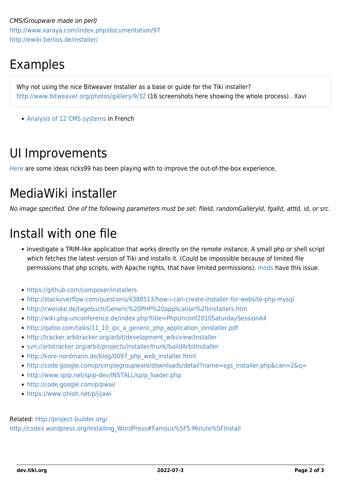CMS/Groupware made on perl) <http://www.xaraya.com/index.php/documentation/97> <http://ewiki.berlios.de/installer/>

# Examples

Why not using the nice Bitweaver Installer as a base or guide for the Tiki installer? <http://www.bitweaver.org/photos/gallery/9/32> (16 screenshots here showing the whole process) . Xavi

• [Analysis of 12 CMS systems](http://www.egvweb.com/analyse/Installation) in French

## UI Improvements

[Here](https://dev.tiki.org/Installer-Revamp) are some ideas ricks99 has been playing with to improve the out-of-the-box experience.

# MediaWiki installer

No image specified. One of the following parameters must be set: fileId, randomGalleryId, fgalId, attId, id, or src.

# Install with one file

- Investigate a TRIM-like application that works directly on the remote instance. A small php or shell script which fetches the latest version of Tiki and installs it. (Could be impossible because of limited file permissions that php scripts, with Apache rights, that have limited permissions). [mods](https://dev.tiki.org/Mods) have this issue.
- <https://github.com/composer/installers>
- <http://stackoverflow.com/questions/4388513/how-i-can-create-installer-for-website-php-mysql>
- <http://cweiske.de/tagebuch/Generic%20PHP%20application%20installers.htm>
- <http://wiki.php-unconference.de/index.php?title=PhpUnconf2010SaturdaySessionA4>
- [http://qafoo.com/talks/11\\_10\\_ipc\\_a\\_generic\\_php\\_application\\_ionstaller.pdf](http://qafoo.com/talks/11_10_ipc_a_generic_php_application_ionstaller.pdf)
- [http://tracker.arbitracker.org/arbit/development\\_wiki/view/Installer](http://tracker.arbitracker.org/arbit/development_wiki/view/Installer)
- <svn://arbitracker.org/arbit/projects/installer/trunk/buildArbitInstaller>
- [http://kore-nordmann.de/blog/0097\\_php\\_web\\_installer.html](http://kore-nordmann.de/blog/0097_php_web_installer.html)
- [http://code.google.com/p/simplegroupware/downloads/detail?name=sgs\\_installer.php&can=2&q=](http://code.google.com/p/simplegroupware/downloads/detail?name=sgs_installer.php&can=2&q=)
- [http://www.spip.net/spip-dev/INSTALL/spip\\_loader.php](http://www.spip.net/spip-dev/INSTALL/spip_loader.php)
- <http://code.google.com/p/pwai/>
- <https://www.ohloh.net/p/jijawi>

#### Related: <http://project-builder.org/>

[http://codex.wordpress.org/Installing\\_WordPress#Famous%5F5-Minute%5FInstall](http://codex.wordpress.org/Installing_WordPress#Famous%5F5-Minute%5FInstall)